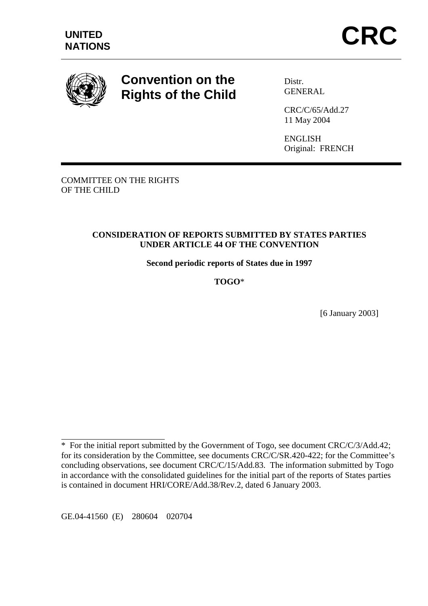

# **Convention on the Rights of the Child**

Distr. **GENERAL** 

CRC/C/65/Add.27 11 May 2004

ENGLISH Original: FRENCH

COMMITTEE ON THE RIGHTS OF THE CHILD

## **CONSIDERATION OF REPORTS SUBMITTED BY STATES PARTIES UNDER ARTICLE 44 OF THE CONVENTION**

**Second periodic reports of States due in 1997** 

**TOGO**\*

[6 January 2003]

GE.04-41560 (E) 280604 020704

 $\overline{a}$ 

<sup>\*</sup> For the initial report submitted by the Government of Togo, see document CRC/C/3/Add.42; for its consideration by the Committee, see documents CRC/C/SR.420-422; for the Committee's concluding observations, see document CRC/C/15/Add.83. The information submitted by Togo in accordance with the consolidated guidelines for the initial part of the reports of States parties is contained in document HRI/CORE/Add.38/Rev.2, dated 6 January 2003.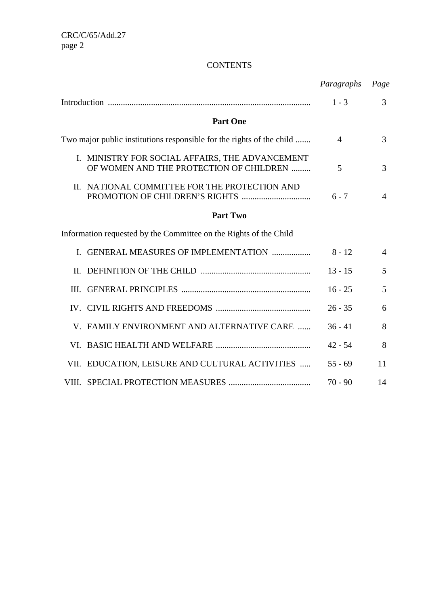# **CONTENTS**

|                                                                       |                                                                                            | Paragraphs     | Page           |
|-----------------------------------------------------------------------|--------------------------------------------------------------------------------------------|----------------|----------------|
|                                                                       |                                                                                            | $1 - 3$        | 3              |
|                                                                       | <b>Part One</b>                                                                            |                |                |
| Two major public institutions responsible for the rights of the child |                                                                                            | $\overline{4}$ | 3              |
|                                                                       | I. MINISTRY FOR SOCIAL AFFAIRS, THE ADVANCEMENT<br>OF WOMEN AND THE PROTECTION OF CHILDREN | 5              | 3              |
|                                                                       | II. NATIONAL COMMITTEE FOR THE PROTECTION AND                                              | $6 - 7$        | $\overline{4}$ |
|                                                                       | <b>Part Two</b>                                                                            |                |                |
|                                                                       | Information requested by the Committee on the Rights of the Child                          |                |                |
| L.                                                                    | <b>GENERAL MEASURES OF IMPLEMENTATION </b>                                                 | $8 - 12$       | $\overline{4}$ |
| II.                                                                   |                                                                                            | $13 - 15$      | 5              |
| III.                                                                  |                                                                                            | $16 - 25$      | 5              |
|                                                                       |                                                                                            | $26 - 35$      | 6              |
|                                                                       | V. FAMILY ENVIRONMENT AND ALTERNATIVE CARE                                                 | $36 - 41$      | 8              |
|                                                                       |                                                                                            | $42 - 54$      | 8              |
|                                                                       | VII. EDUCATION, LEISURE AND CULTURAL ACTIVITIES                                            | $55 - 69$      | 11             |
|                                                                       |                                                                                            | $70 - 90$      | 14             |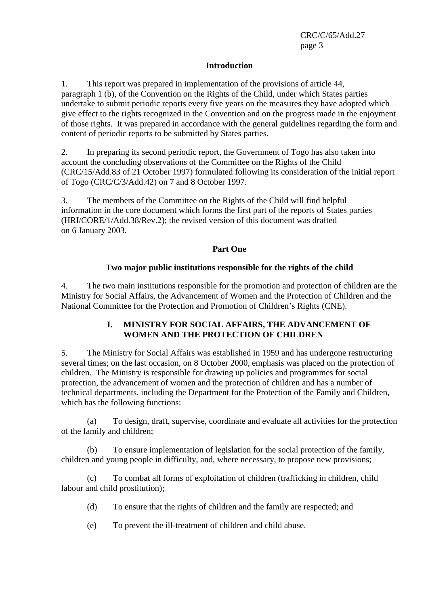#### **Introduction**

1. This report was prepared in implementation of the provisions of article 44, paragraph 1 (b), of the Convention on the Rights of the Child, under which States parties undertake to submit periodic reports every five years on the measures they have adopted which give effect to the rights recognized in the Convention and on the progress made in the enjoyment of those rights. It was prepared in accordance with the general guidelines regarding the form and content of periodic reports to be submitted by States parties.

2. In preparing its second periodic report, the Government of Togo has also taken into account the concluding observations of the Committee on the Rights of the Child (CRC/15/Add.83 of 21 October 1997) formulated following its consideration of the initial report of Togo (CRC/C/3/Add.42) on 7 and 8 October 1997.

3. The members of the Committee on the Rights of the Child will find helpful information in the core document which forms the first part of the reports of States parties (HRI/CORE/1/Add.38/Rev.2); the revised version of this document was drafted on 6 January 2003.

#### **Part One**

## **Two major public institutions responsible for the rights of the child**

4. The two main institutions responsible for the promotion and protection of children are the Ministry for Social Affairs, the Advancement of Women and the Protection of Children and the National Committee for the Protection and Promotion of Children's Rights (CNE).

## **I. MINISTRY FOR SOCIAL AFFAIRS, THE ADVANCEMENT OF WOMEN AND THE PROTECTION OF CHILDREN**

5. The Ministry for Social Affairs was established in 1959 and has undergone restructuring several times; on the last occasion, on 8 October 2000, emphasis was placed on the protection of children. The Ministry is responsible for drawing up policies and programmes for social protection, the advancement of women and the protection of children and has a number of technical departments, including the Department for the Protection of the Family and Children, which has the following functions:

 (a) To design, draft, supervise, coordinate and evaluate all activities for the protection of the family and children;

 (b) To ensure implementation of legislation for the social protection of the family, children and young people in difficulty, and, where necessary, to propose new provisions;

 (c) To combat all forms of exploitation of children (trafficking in children, child labour and child prostitution);

- (d) To ensure that the rights of children and the family are respected; and
- (e) To prevent the ill-treatment of children and child abuse.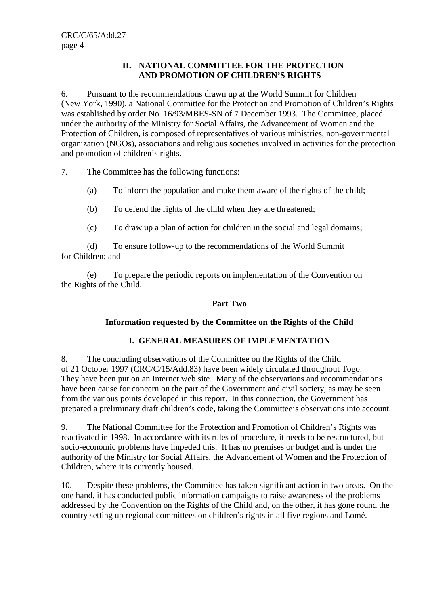#### **II. NATIONAL COMMITTEE FOR THE PROTECTION AND PROMOTION OF CHILDREN'S RIGHTS**

6. Pursuant to the recommendations drawn up at the World Summit for Children (New York, 1990), a National Committee for the Protection and Promotion of Children's Rights was established by order No. 16/93/MBES-SN of 7 December 1993. The Committee, placed under the authority of the Ministry for Social Affairs, the Advancement of Women and the Protection of Children, is composed of representatives of various ministries, non-governmental organization (NGOs), associations and religious societies involved in activities for the protection and promotion of children's rights.

7. The Committee has the following functions:

- (a) To inform the population and make them aware of the rights of the child;
- (b) To defend the rights of the child when they are threatened;
- (c) To draw up a plan of action for children in the social and legal domains;

 (d) To ensure follow-up to the recommendations of the World Summit for Children; and

 (e) To prepare the periodic reports on implementation of the Convention on the Rights of the Child.

## **Part Two**

## **Information requested by the Committee on the Rights of the Child**

# **I. GENERAL MEASURES OF IMPLEMENTATION**

8. The concluding observations of the Committee on the Rights of the Child of 21 October 1997 (CRC/C/15/Add.83) have been widely circulated throughout Togo. They have been put on an Internet web site. Many of the observations and recommendations have been cause for concern on the part of the Government and civil society, as may be seen from the various points developed in this report. In this connection, the Government has prepared a preliminary draft children's code, taking the Committee's observations into account.

9. The National Committee for the Protection and Promotion of Children's Rights was reactivated in 1998. In accordance with its rules of procedure, it needs to be restructured, but socio-economic problems have impeded this. It has no premises or budget and is under the authority of the Ministry for Social Affairs, the Advancement of Women and the Protection of Children, where it is currently housed.

10. Despite these problems, the Committee has taken significant action in two areas. On the one hand, it has conducted public information campaigns to raise awareness of the problems addressed by the Convention on the Rights of the Child and, on the other, it has gone round the country setting up regional committees on children's rights in all five regions and Lomé.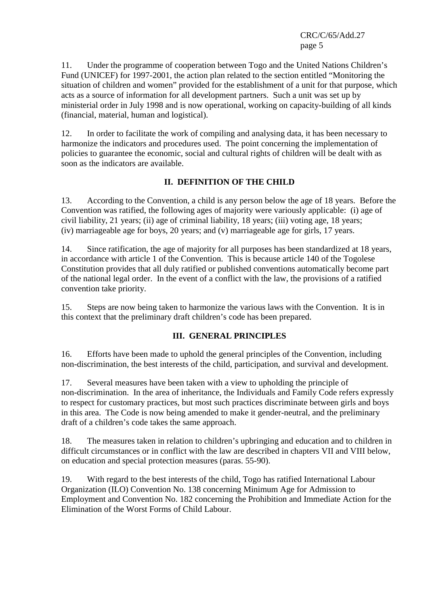11. Under the programme of cooperation between Togo and the United Nations Children's Fund (UNICEF) for 1997-2001, the action plan related to the section entitled "Monitoring the situation of children and women" provided for the establishment of a unit for that purpose, which acts as a source of information for all development partners. Such a unit was set up by ministerial order in July 1998 and is now operational, working on capacity-building of all kinds (financial, material, human and logistical).

12. In order to facilitate the work of compiling and analysing data, it has been necessary to harmonize the indicators and procedures used. The point concerning the implementation of policies to guarantee the economic, social and cultural rights of children will be dealt with as soon as the indicators are available.

## **II. DEFINITION OF THE CHILD**

13. According to the Convention, a child is any person below the age of 18 years. Before the Convention was ratified, the following ages of majority were variously applicable: (i) age of civil liability, 21 years; (ii) age of criminal liability, 18 years; (iii) voting age, 18 years; (iv) marriageable age for boys, 20 years; and (v) marriageable age for girls, 17 years.

14. Since ratification, the age of majority for all purposes has been standardized at 18 years, in accordance with article 1 of the Convention. This is because article 140 of the Togolese Constitution provides that all duly ratified or published conventions automatically become part of the national legal order. In the event of a conflict with the law, the provisions of a ratified convention take priority.

15. Steps are now being taken to harmonize the various laws with the Convention. It is in this context that the preliminary draft children's code has been prepared.

## **III. GENERAL PRINCIPLES**

16. Efforts have been made to uphold the general principles of the Convention, including non-discrimination, the best interests of the child, participation, and survival and development.

17. Several measures have been taken with a view to upholding the principle of non-discrimination. In the area of inheritance, the Individuals and Family Code refers expressly to respect for customary practices, but most such practices discriminate between girls and boys in this area. The Code is now being amended to make it gender-neutral, and the preliminary draft of a children's code takes the same approach.

18. The measures taken in relation to children's upbringing and education and to children in difficult circumstances or in conflict with the law are described in chapters VII and VIII below, on education and special protection measures (paras. 55-90).

19. With regard to the best interests of the child, Togo has ratified International Labour Organization (ILO) Convention No. 138 concerning Minimum Age for Admission to Employment and Convention No. 182 concerning the Prohibition and Immediate Action for the Elimination of the Worst Forms of Child Labour.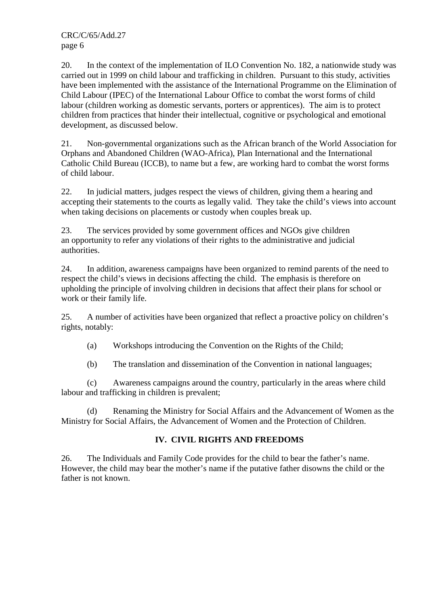20. In the context of the implementation of ILO Convention No. 182, a nationwide study was carried out in 1999 on child labour and trafficking in children. Pursuant to this study, activities have been implemented with the assistance of the International Programme on the Elimination of Child Labour (IPEC) of the International Labour Office to combat the worst forms of child labour (children working as domestic servants, porters or apprentices). The aim is to protect children from practices that hinder their intellectual, cognitive or psychological and emotional development, as discussed below.

21. Non-governmental organizations such as the African branch of the World Association for Orphans and Abandoned Children (WAO-Africa), Plan International and the International Catholic Child Bureau (ICCB), to name but a few, are working hard to combat the worst forms of child labour.

22. In judicial matters, judges respect the views of children, giving them a hearing and accepting their statements to the courts as legally valid. They take the child's views into account when taking decisions on placements or custody when couples break up.

23. The services provided by some government offices and NGOs give children an opportunity to refer any violations of their rights to the administrative and judicial authorities.

24. In addition, awareness campaigns have been organized to remind parents of the need to respect the child's views in decisions affecting the child. The emphasis is therefore on upholding the principle of involving children in decisions that affect their plans for school or work or their family life.

25. A number of activities have been organized that reflect a proactive policy on children's rights, notably:

(a) Workshops introducing the Convention on the Rights of the Child;

(b) The translation and dissemination of the Convention in national languages;

 (c) Awareness campaigns around the country, particularly in the areas where child labour and trafficking in children is prevalent;

 (d) Renaming the Ministry for Social Affairs and the Advancement of Women as the Ministry for Social Affairs, the Advancement of Women and the Protection of Children.

## **IV. CIVIL RIGHTS AND FREEDOMS**

26. The Individuals and Family Code provides for the child to bear the father's name. However, the child may bear the mother's name if the putative father disowns the child or the father is not known.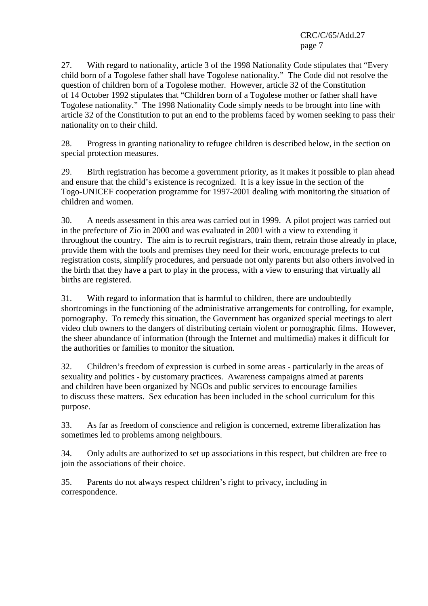27. With regard to nationality, article 3 of the 1998 Nationality Code stipulates that "Every child born of a Togolese father shall have Togolese nationality." The Code did not resolve the question of children born of a Togolese mother. However, article 32 of the Constitution of 14 October 1992 stipulates that "Children born of a Togolese mother or father shall have Togolese nationality." The 1998 Nationality Code simply needs to be brought into line with article 32 of the Constitution to put an end to the problems faced by women seeking to pass their nationality on to their child.

28. Progress in granting nationality to refugee children is described below, in the section on special protection measures.

29. Birth registration has become a government priority, as it makes it possible to plan ahead and ensure that the child's existence is recognized. It is a key issue in the section of the Togo-UNICEF cooperation programme for 1997-2001 dealing with monitoring the situation of children and women.

30. A needs assessment in this area was carried out in 1999. A pilot project was carried out in the prefecture of Zio in 2000 and was evaluated in 2001 with a view to extending it throughout the country. The aim is to recruit registrars, train them, retrain those already in place, provide them with the tools and premises they need for their work, encourage prefects to cut registration costs, simplify procedures, and persuade not only parents but also others involved in the birth that they have a part to play in the process, with a view to ensuring that virtually all births are registered.

31. With regard to information that is harmful to children, there are undoubtedly shortcomings in the functioning of the administrative arrangements for controlling, for example, pornography. To remedy this situation, the Government has organized special meetings to alert video club owners to the dangers of distributing certain violent or pornographic films. However, the sheer abundance of information (through the Internet and multimedia) makes it difficult for the authorities or families to monitor the situation.

32. Children's freedom of expression is curbed in some areas - particularly in the areas of sexuality and politics - by customary practices. Awareness campaigns aimed at parents and children have been organized by NGOs and public services to encourage families to discuss these matters. Sex education has been included in the school curriculum for this purpose.

33. As far as freedom of conscience and religion is concerned, extreme liberalization has sometimes led to problems among neighbours.

34. Only adults are authorized to set up associations in this respect, but children are free to join the associations of their choice.

35. Parents do not always respect children's right to privacy, including in correspondence.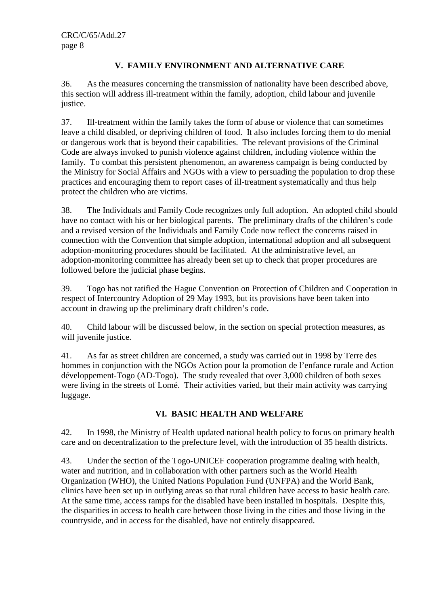# **V. FAMILY ENVIRONMENT AND ALTERNATIVE CARE**

36. As the measures concerning the transmission of nationality have been described above, this section will address ill-treatment within the family, adoption, child labour and juvenile justice.

37. Ill-treatment within the family takes the form of abuse or violence that can sometimes leave a child disabled, or depriving children of food. It also includes forcing them to do menial or dangerous work that is beyond their capabilities. The relevant provisions of the Criminal Code are always invoked to punish violence against children, including violence within the family. To combat this persistent phenomenon, an awareness campaign is being conducted by the Ministry for Social Affairs and NGOs with a view to persuading the population to drop these practices and encouraging them to report cases of ill-treatment systematically and thus help protect the children who are victims.

38. The Individuals and Family Code recognizes only full adoption. An adopted child should have no contact with his or her biological parents. The preliminary drafts of the children's code and a revised version of the Individuals and Family Code now reflect the concerns raised in connection with the Convention that simple adoption, international adoption and all subsequent adoption-monitoring procedures should be facilitated. At the administrative level, an adoption-monitoring committee has already been set up to check that proper procedures are followed before the judicial phase begins.

39. Togo has not ratified the Hague Convention on Protection of Children and Cooperation in respect of Intercountry Adoption of 29 May 1993, but its provisions have been taken into account in drawing up the preliminary draft children's code.

40. Child labour will be discussed below, in the section on special protection measures, as will juvenile justice.

41. As far as street children are concerned, a study was carried out in 1998 by Terre des hommes in conjunction with the NGOs Action pour la promotion de l'enfance rurale and Action développement-Togo (AD-Togo). The study revealed that over 3,000 children of both sexes were living in the streets of Lomé. Their activities varied, but their main activity was carrying luggage.

## **VI. BASIC HEALTH AND WELFARE**

42. In 1998, the Ministry of Health updated national health policy to focus on primary health care and on decentralization to the prefecture level, with the introduction of 35 health districts.

43. Under the section of the Togo-UNICEF cooperation programme dealing with health, water and nutrition, and in collaboration with other partners such as the World Health Organization (WHO), the United Nations Population Fund (UNFPA) and the World Bank, clinics have been set up in outlying areas so that rural children have access to basic health care. At the same time, access ramps for the disabled have been installed in hospitals. Despite this, the disparities in access to health care between those living in the cities and those living in the countryside, and in access for the disabled, have not entirely disappeared.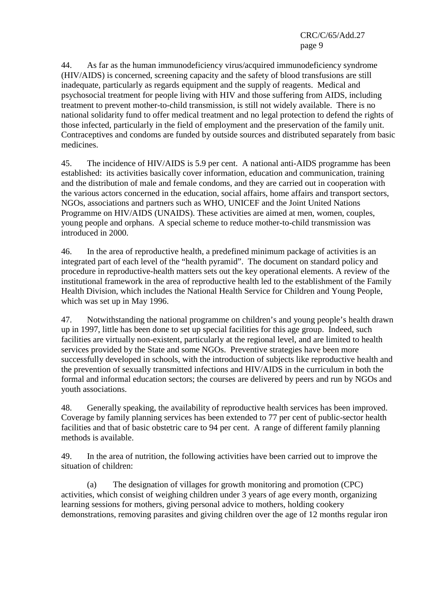44. As far as the human immunodeficiency virus/acquired immunodeficiency syndrome (HIV/AIDS) is concerned, screening capacity and the safety of blood transfusions are still inadequate, particularly as regards equipment and the supply of reagents. Medical and psychosocial treatment for people living with HIV and those suffering from AIDS, including treatment to prevent mother-to-child transmission, is still not widely available. There is no national solidarity fund to offer medical treatment and no legal protection to defend the rights of those infected, particularly in the field of employment and the preservation of the family unit. Contraceptives and condoms are funded by outside sources and distributed separately from basic medicines.

45. The incidence of HIV/AIDS is 5.9 per cent. A national anti-AIDS programme has been established: its activities basically cover information, education and communication, training and the distribution of male and female condoms, and they are carried out in cooperation with the various actors concerned in the education, social affairs, home affairs and transport sectors, NGOs, associations and partners such as WHO, UNICEF and the Joint United Nations Programme on HIV/AIDS (UNAIDS). These activities are aimed at men, women, couples, young people and orphans. A special scheme to reduce mother-to-child transmission was introduced in 2000.

46. In the area of reproductive health, a predefined minimum package of activities is an integrated part of each level of the "health pyramid". The document on standard policy and procedure in reproductive-health matters sets out the key operational elements. A review of the institutional framework in the area of reproductive health led to the establishment of the Family Health Division, which includes the National Health Service for Children and Young People, which was set up in May 1996.

47. Notwithstanding the national programme on children's and young people's health drawn up in 1997, little has been done to set up special facilities for this age group. Indeed, such facilities are virtually non-existent, particularly at the regional level, and are limited to health services provided by the State and some NGOs. Preventive strategies have been more successfully developed in schools, with the introduction of subjects like reproductive health and the prevention of sexually transmitted infections and HIV/AIDS in the curriculum in both the formal and informal education sectors; the courses are delivered by peers and run by NGOs and youth associations.

48. Generally speaking, the availability of reproductive health services has been improved. Coverage by family planning services has been extended to 77 per cent of public-sector health facilities and that of basic obstetric care to 94 per cent. A range of different family planning methods is available.

49. In the area of nutrition, the following activities have been carried out to improve the situation of children:

 (a) The designation of villages for growth monitoring and promotion (CPC) activities, which consist of weighing children under 3 years of age every month, organizing learning sessions for mothers, giving personal advice to mothers, holding cookery demonstrations, removing parasites and giving children over the age of 12 months regular iron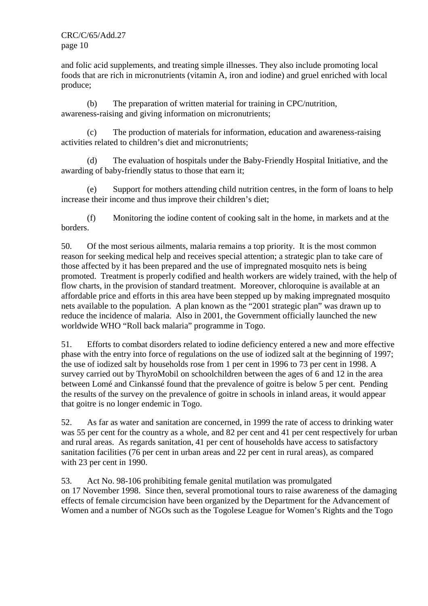and folic acid supplements, and treating simple illnesses. They also include promoting local foods that are rich in micronutrients (vitamin A, iron and iodine) and gruel enriched with local produce;

 (b) The preparation of written material for training in CPC/nutrition, awareness-raising and giving information on micronutrients;

 (c) The production of materials for information, education and awareness-raising activities related to children's diet and micronutrients;

 (d) The evaluation of hospitals under the Baby-Friendly Hospital Initiative, and the awarding of baby-friendly status to those that earn it;

 (e) Support for mothers attending child nutrition centres, in the form of loans to help increase their income and thus improve their children's diet;

 (f) Monitoring the iodine content of cooking salt in the home, in markets and at the borders.

50. Of the most serious ailments, malaria remains a top priority. It is the most common reason for seeking medical help and receives special attention; a strategic plan to take care of those affected by it has been prepared and the use of impregnated mosquito nets is being promoted. Treatment is properly codified and health workers are widely trained, with the help of flow charts, in the provision of standard treatment. Moreover, chloroquine is available at an affordable price and efforts in this area have been stepped up by making impregnated mosquito nets available to the population. A plan known as the "2001 strategic plan" was drawn up to reduce the incidence of malaria. Also in 2001, the Government officially launched the new worldwide WHO "Roll back malaria" programme in Togo.

51. Efforts to combat disorders related to iodine deficiency entered a new and more effective phase with the entry into force of regulations on the use of iodized salt at the beginning of 1997; the use of iodized salt by households rose from 1 per cent in 1996 to 73 per cent in 1998. A survey carried out by ThyroMobil on schoolchildren between the ages of 6 and 12 in the area between Lomé and Cinkanssé found that the prevalence of goitre is below 5 per cent. Pending the results of the survey on the prevalence of goitre in schools in inland areas, it would appear that goitre is no longer endemic in Togo.

52. As far as water and sanitation are concerned, in 1999 the rate of access to drinking water was 55 per cent for the country as a whole, and 82 per cent and 41 per cent respectively for urban and rural areas. As regards sanitation, 41 per cent of households have access to satisfactory sanitation facilities (76 per cent in urban areas and 22 per cent in rural areas), as compared with 23 per cent in 1990.

53. Act No. 98-106 prohibiting female genital mutilation was promulgated on 17 November 1998. Since then, several promotional tours to raise awareness of the damaging effects of female circumcision have been organized by the Department for the Advancement of Women and a number of NGOs such as the Togolese League for Women's Rights and the Togo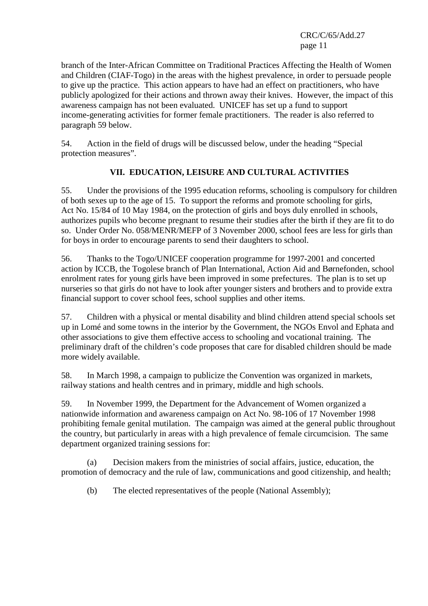branch of the Inter-African Committee on Traditional Practices Affecting the Health of Women and Children (CIAF-Togo) in the areas with the highest prevalence, in order to persuade people to give up the practice. This action appears to have had an effect on practitioners, who have publicly apologized for their actions and thrown away their knives. However, the impact of this awareness campaign has not been evaluated. UNICEF has set up a fund to support income-generating activities for former female practitioners. The reader is also referred to paragraph 59 below.

54. Action in the field of drugs will be discussed below, under the heading "Special protection measures".

# **VII. EDUCATION, LEISURE AND CULTURAL ACTIVITIES**

55. Under the provisions of the 1995 education reforms, schooling is compulsory for children of both sexes up to the age of 15. To support the reforms and promote schooling for girls, Act No. 15/84 of 10 May 1984, on the protection of girls and boys duly enrolled in schools, authorizes pupils who become pregnant to resume their studies after the birth if they are fit to do so. Under Order No. 058/MENR/MEFP of 3 November 2000, school fees are less for girls than for boys in order to encourage parents to send their daughters to school.

56. Thanks to the Togo/UNICEF cooperation programme for 1997-2001 and concerted action by ICCB, the Togolese branch of Plan International, Action Aid and Børnefonden, school enrolment rates for young girls have been improved in some prefectures. The plan is to set up nurseries so that girls do not have to look after younger sisters and brothers and to provide extra financial support to cover school fees, school supplies and other items.

57. Children with a physical or mental disability and blind children attend special schools set up in Lomé and some towns in the interior by the Government, the NGOs Envol and Ephata and other associations to give them effective access to schooling and vocational training. The preliminary draft of the children's code proposes that care for disabled children should be made more widely available.

58. In March 1998, a campaign to publicize the Convention was organized in markets, railway stations and health centres and in primary, middle and high schools.

59. In November 1999, the Department for the Advancement of Women organized a nationwide information and awareness campaign on Act No. 98-106 of 17 November 1998 prohibiting female genital mutilation. The campaign was aimed at the general public throughout the country, but particularly in areas with a high prevalence of female circumcision. The same department organized training sessions for:

 (a) Decision makers from the ministries of social affairs, justice, education, the promotion of democracy and the rule of law, communications and good citizenship, and health;

(b) The elected representatives of the people (National Assembly);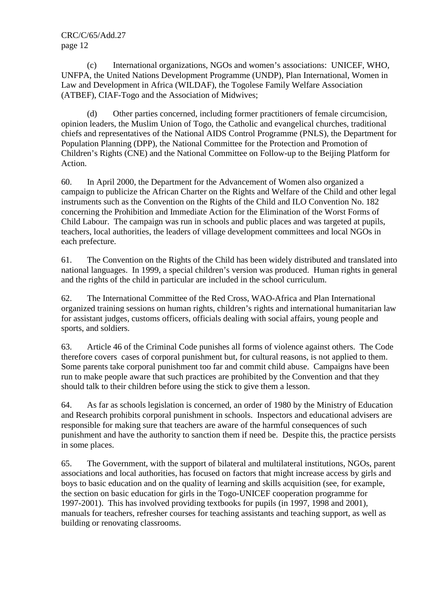(c) International organizations, NGOs and women's associations: UNICEF, WHO, UNFPA, the United Nations Development Programme (UNDP), Plan International, Women in Law and Development in Africa (WILDAF), the Togolese Family Welfare Association (ATBEF), CIAF-Togo and the Association of Midwives;

 (d) Other parties concerned, including former practitioners of female circumcision, opinion leaders, the Muslim Union of Togo, the Catholic and evangelical churches, traditional chiefs and representatives of the National AIDS Control Programme (PNLS), the Department for Population Planning (DPP), the National Committee for the Protection and Promotion of Children's Rights (CNE) and the National Committee on Follow-up to the Beijing Platform for Action.

60. In April 2000, the Department for the Advancement of Women also organized a campaign to publicize the African Charter on the Rights and Welfare of the Child and other legal instruments such as the Convention on the Rights of the Child and ILO Convention No. 182 concerning the Prohibition and Immediate Action for the Elimination of the Worst Forms of Child Labour. The campaign was run in schools and public places and was targeted at pupils, teachers, local authorities, the leaders of village development committees and local NGOs in each prefecture.

61. The Convention on the Rights of the Child has been widely distributed and translated into national languages. In 1999, a special children's version was produced. Human rights in general and the rights of the child in particular are included in the school curriculum.

62. The International Committee of the Red Cross, WAO-Africa and Plan International organized training sessions on human rights, children's rights and international humanitarian law for assistant judges, customs officers, officials dealing with social affairs, young people and sports, and soldiers.

63. Article 46 of the Criminal Code punishes all forms of violence against others. The Code therefore covers cases of corporal punishment but, for cultural reasons, is not applied to them. Some parents take corporal punishment too far and commit child abuse. Campaigns have been run to make people aware that such practices are prohibited by the Convention and that they should talk to their children before using the stick to give them a lesson.

64. As far as schools legislation is concerned, an order of 1980 by the Ministry of Education and Research prohibits corporal punishment in schools. Inspectors and educational advisers are responsible for making sure that teachers are aware of the harmful consequences of such punishment and have the authority to sanction them if need be. Despite this, the practice persists in some places.

65. The Government, with the support of bilateral and multilateral institutions, NGOs, parent associations and local authorities, has focused on factors that might increase access by girls and boys to basic education and on the quality of learning and skills acquisition (see, for example, the section on basic education for girls in the Togo-UNICEF cooperation programme for 1997-2001). This has involved providing textbooks for pupils (in 1997, 1998 and 2001), manuals for teachers, refresher courses for teaching assistants and teaching support, as well as building or renovating classrooms.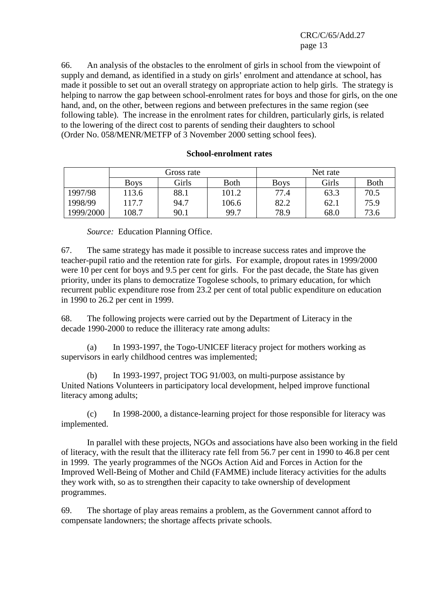66. An analysis of the obstacles to the enrolment of girls in school from the viewpoint of supply and demand, as identified in a study on girls' enrolment and attendance at school, has made it possible to set out an overall strategy on appropriate action to help girls. The strategy is helping to narrow the gap between school-enrolment rates for boys and those for girls, on the one hand, and, on the other, between regions and between prefectures in the same region (see following table). The increase in the enrolment rates for children, particularly girls, is related to the lowering of the direct cost to parents of sending their daughters to school (Order No. 058/MENR/METFP of 3 November 2000 setting school fees).

Gross rate Net rate Boys | Girls | Both | Boys | Girls | Both 1997/98 | 113.6 | 88.1 | 101.2 | 77.4 | 63.3 | 70.5 1998/99 117.7 94.7 106.6 82.2 62.1 75.9 1999/2000 108.7 90.1 99.7 78.9 68.0 73.6

#### **School-enrolment rates**

 *Source:* Education Planning Office.

67. The same strategy has made it possible to increase success rates and improve the teacher-pupil ratio and the retention rate for girls. For example, dropout rates in 1999/2000 were 10 per cent for boys and 9.5 per cent for girls. For the past decade, the State has given priority, under its plans to democratize Togolese schools, to primary education, for which recurrent public expenditure rose from 23.2 per cent of total public expenditure on education in 1990 to 26.2 per cent in 1999.

68. The following projects were carried out by the Department of Literacy in the decade 1990-2000 to reduce the illiteracy rate among adults:

 (a) In 1993-1997, the Togo-UNICEF literacy project for mothers working as supervisors in early childhood centres was implemented;

 (b) In 1993-1997, project TOG 91/003, on multi-purpose assistance by United Nations Volunteers in participatory local development, helped improve functional literacy among adults;

 (c) In 1998-2000, a distance-learning project for those responsible for literacy was implemented.

 In parallel with these projects, NGOs and associations have also been working in the field of literacy, with the result that the illiteracy rate fell from 56.7 per cent in 1990 to 46.8 per cent in 1999. The yearly programmes of the NGOs Action Aid and Forces in Action for the Improved Well-Being of Mother and Child (FAMME) include literacy activities for the adults they work with, so as to strengthen their capacity to take ownership of development programmes.

69. The shortage of play areas remains a problem, as the Government cannot afford to compensate landowners; the shortage affects private schools.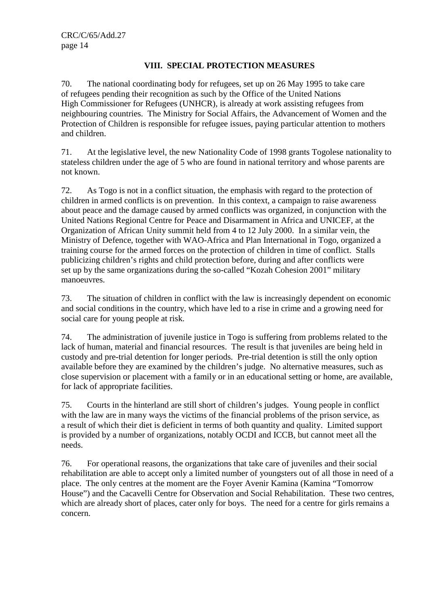## **VIII. SPECIAL PROTECTION MEASURES**

70. The national coordinating body for refugees, set up on 26 May 1995 to take care of refugees pending their recognition as such by the Office of the United Nations High Commissioner for Refugees (UNHCR), is already at work assisting refugees from neighbouring countries. The Ministry for Social Affairs, the Advancement of Women and the Protection of Children is responsible for refugee issues, paying particular attention to mothers and children.

71. At the legislative level, the new Nationality Code of 1998 grants Togolese nationality to stateless children under the age of 5 who are found in national territory and whose parents are not known.

72. As Togo is not in a conflict situation, the emphasis with regard to the protection of children in armed conflicts is on prevention. In this context, a campaign to raise awareness about peace and the damage caused by armed conflicts was organized, in conjunction with the United Nations Regional Centre for Peace and Disarmament in Africa and UNICEF, at the Organization of African Unity summit held from 4 to 12 July 2000. In a similar vein, the Ministry of Defence, together with WAO-Africa and Plan International in Togo, organized a training course for the armed forces on the protection of children in time of conflict. Stalls publicizing children's rights and child protection before, during and after conflicts were set up by the same organizations during the so-called "Kozah Cohesion 2001" military manoeuvres.

73. The situation of children in conflict with the law is increasingly dependent on economic and social conditions in the country, which have led to a rise in crime and a growing need for social care for young people at risk.

74. The administration of juvenile justice in Togo is suffering from problems related to the lack of human, material and financial resources. The result is that juveniles are being held in custody and pre-trial detention for longer periods. Pre-trial detention is still the only option available before they are examined by the children's judge. No alternative measures, such as close supervision or placement with a family or in an educational setting or home, are available, for lack of appropriate facilities.

75. Courts in the hinterland are still short of children's judges. Young people in conflict with the law are in many ways the victims of the financial problems of the prison service, as a result of which their diet is deficient in terms of both quantity and quality. Limited support is provided by a number of organizations, notably OCDI and ICCB, but cannot meet all the needs.

76. For operational reasons, the organizations that take care of juveniles and their social rehabilitation are able to accept only a limited number of youngsters out of all those in need of a place. The only centres at the moment are the Foyer Avenir Kamina (Kamina "Tomorrow House") and the Cacavelli Centre for Observation and Social Rehabilitation. These two centres, which are already short of places, cater only for boys. The need for a centre for girls remains a concern.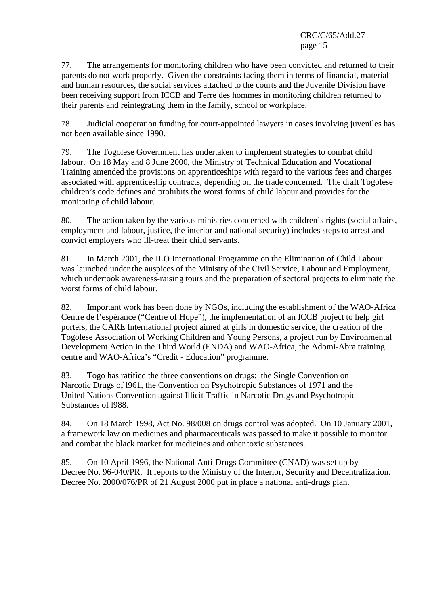77. The arrangements for monitoring children who have been convicted and returned to their parents do not work properly. Given the constraints facing them in terms of financial, material and human resources, the social services attached to the courts and the Juvenile Division have been receiving support from ICCB and Terre des hommes in monitoring children returned to their parents and reintegrating them in the family, school or workplace.

78. Judicial cooperation funding for court-appointed lawyers in cases involving juveniles has not been available since 1990.

79. The Togolese Government has undertaken to implement strategies to combat child labour. On 18 May and 8 June 2000, the Ministry of Technical Education and Vocational Training amended the provisions on apprenticeships with regard to the various fees and charges associated with apprenticeship contracts, depending on the trade concerned. The draft Togolese children's code defines and prohibits the worst forms of child labour and provides for the monitoring of child labour.

80. The action taken by the various ministries concerned with children's rights (social affairs, employment and labour, justice, the interior and national security) includes steps to arrest and convict employers who ill-treat their child servants.

81. In March 2001, the ILO International Programme on the Elimination of Child Labour was launched under the auspices of the Ministry of the Civil Service, Labour and Employment, which undertook awareness-raising tours and the preparation of sectoral projects to eliminate the worst forms of child labour.

82. Important work has been done by NGOs, including the establishment of the WAO-Africa Centre de l'espérance ("Centre of Hope"), the implementation of an ICCB project to help girl porters, the CARE International project aimed at girls in domestic service, the creation of the Togolese Association of Working Children and Young Persons, a project run by Environmental Development Action in the Third World (ENDA) and WAO-Africa, the Adomi-Abra training centre and WAO-Africa's "Credit - Education" programme.

83. Togo has ratified the three conventions on drugs: the Single Convention on Narcotic Drugs of l961, the Convention on Psychotropic Substances of 1971 and the United Nations Convention against Illicit Traffic in Narcotic Drugs and Psychotropic Substances of l988.

84. On 18 March 1998, Act No. 98/008 on drugs control was adopted. On 10 January 2001, a framework law on medicines and pharmaceuticals was passed to make it possible to monitor and combat the black market for medicines and other toxic substances.

85. On 10 April 1996, the National Anti-Drugs Committee (CNAD) was set up by Decree No. 96-040/PR. It reports to the Ministry of the Interior, Security and Decentralization. Decree No. 2000/076/PR of 21 August 2000 put in place a national anti-drugs plan.